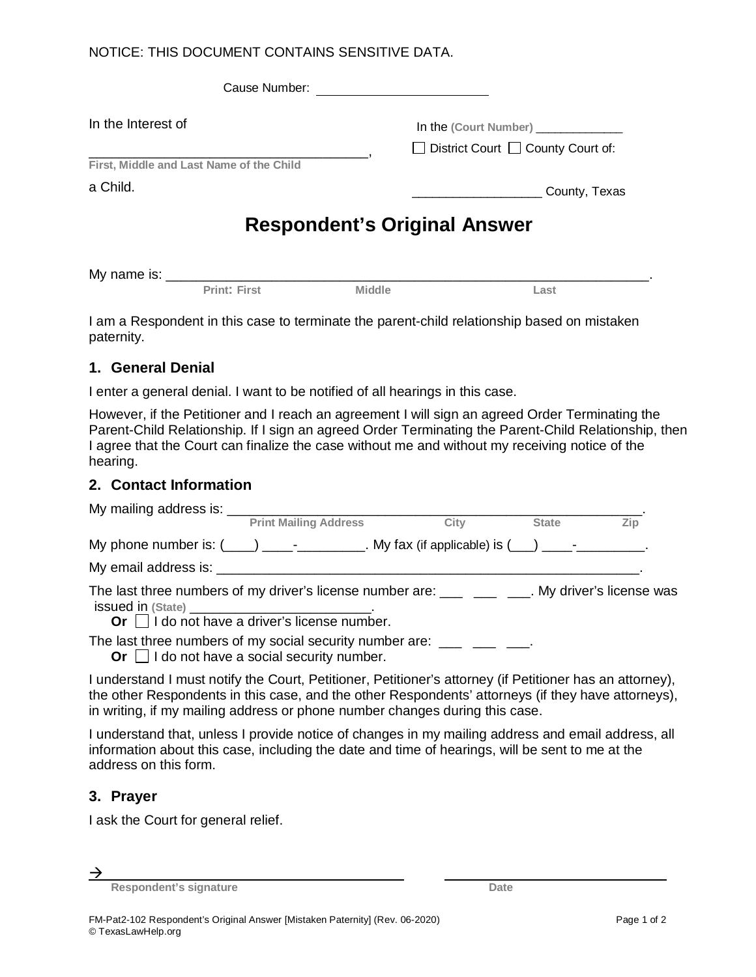## NOTICE: THIS DOCUMENT CONTAINS SENSITIVE DATA.

| Cause Number:                            |                                                                        |  |  |  |  |
|------------------------------------------|------------------------------------------------------------------------|--|--|--|--|
| In the Interest of                       | In the (Court Number)<br>$\Box$ District Court $\Box$ County Court of: |  |  |  |  |
| First, Middle and Last Name of the Child |                                                                        |  |  |  |  |
| a Child.                                 | County, Texas                                                          |  |  |  |  |
| <b>Respondent's Original Answer</b>      |                                                                        |  |  |  |  |

| My name is: |                   |       |      |  |
|-------------|-------------------|-------|------|--|
|             | ⊃rint" F<br>⊽iret | iddl. | .ast |  |

I am a Respondent in this case to terminate the parent-child relationship based on mistaken paternity.

## **1. General Denial**

I enter a general denial. I want to be notified of all hearings in this case.

However, if the Petitioner and I reach an agreement I will sign an agreed Order Terminating the Parent-Child Relationship. If I sign an agreed Order Terminating the Parent-Child Relationship, then I agree that the Court can finalize the case without me and without my receiving notice of the hearing.

## **2. Contact Information**

| <b>Print Mailing Address</b>                                                                                                                                                 | City | <b>State</b> | Zip |
|------------------------------------------------------------------------------------------------------------------------------------------------------------------------------|------|--------------|-----|
| My phone number is: $(\_\_\_\_)$ _______________. My fax (if applicable) is $(\_\_\_\)_$ ____________.                                                                       |      |              |     |
|                                                                                                                                                                              |      |              |     |
| The last three numbers of my driver's license number are: _____ ____ ___. My driver's license was<br>Or $\Box$ I do not have a driver's license number.                      |      |              |     |
| The last three numbers of my social security number are: $\frac{1}{\sqrt{1-\frac{1}{2}}}\frac{1}{\sqrt{1-\frac{1}{2}}}$<br>Or $\Box$ I do not have a social security number. |      |              |     |

I understand I must notify the Court, Petitioner, Petitioner's attorney (if Petitioner has an attorney), the other Respondents in this case, and the other Respondents' attorneys (if they have attorneys), in writing, if my mailing address or phone number changes during this case.

I understand that, unless I provide notice of changes in my mailing address and email address, all information about this case, including the date and time of hearings, will be sent to me at the address on this form.

#### **3. Prayer**

I ask the Court for general relief.

 $\rightarrow$ 

**Respondent's signature Date Date Date**